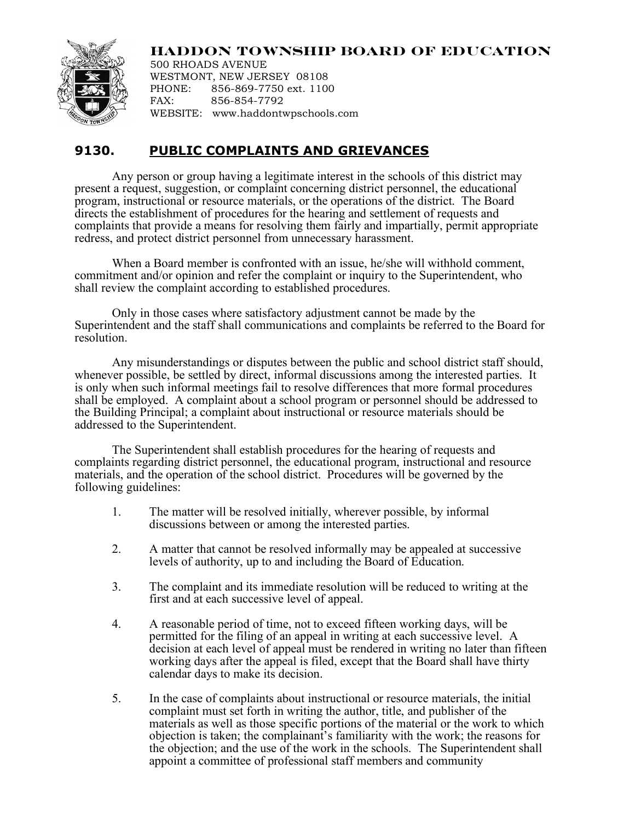

## **HADDON TOWNSHIP BOARD OF EDUCATION**

500 RHOADS AVENUE WESTMONT, NEW JERSEY 08108 PHONE: 856-869-7750 ext. 1100 FAX: 856-854-7792 WEBSITE: www.haddontwpschools.com

## **9130. PUBLIC COMPLAINTS AND GRIEVANCES**

Any person or group having a legitimate interest in the schools of this district may present a request, suggestion, or complaint concerning district personnel, the educational program, instructional or resource materials, or the operations of the district. The Board directs the establishment of procedures for the hearing and settlement of requests and complaints that provide a means for resolving them fairly and impartially, permit appropriate redress, and protect district personnel from unnecessary harassment.

When a Board member is confronted with an issue, he/she will withhold comment, commitment and/or opinion and refer the complaint or inquiry to the Superintendent, who shall review the complaint according to established procedures.

Only in those cases where satisfactory adjustment cannot be made by the Superintendent and the staff shall communications and complaints be referred to the Board for resolution.

Any misunderstandings or disputes between the public and school district staff should, whenever possible, be settled by direct, informal discussions among the interested parties. It is only when such informal meetings fail to resolve differences that more formal procedures shall be employed. A complaint about a school program or personnel should be addressed to the Building Principal; a complaint about instructional or resource materials should be addressed to the Superintendent.

The Superintendent shall establish procedures for the hearing of requests and complaints regarding district personnel, the educational program, instructional and resource materials, and the operation of the school district. Procedures will be governed by the following guidelines:

- 1. The matter will be resolved initially, wherever possible, by informal discussions between or among the interested parties.
- 2. A matter that cannot be resolved informally may be appealed at successive levels of authority, up to and including the Board of Education.
- 3. The complaint and its immediate resolution will be reduced to writing at the first and at each successive level of appeal.
- 4. A reasonable period of time, not to exceed fifteen working days, will be permitted for the filing of an appeal in writing at each successive level. A decision at each level of appeal must be rendered in writing no later than fifteen working days after the appeal is filed, except that the Board shall have thirty calendar days to make its decision.
- 5. In the case of complaints about instructional or resource materials, the initial complaint must set forth in writing the author, title, and publisher of the materials as well as those specific portions of the material or the work to which objection is taken; the complainant's familiarity with the work; the reasons for the objection; and the use of the work in the schools. The Superintendent shall appoint a committee of professional staff members and community